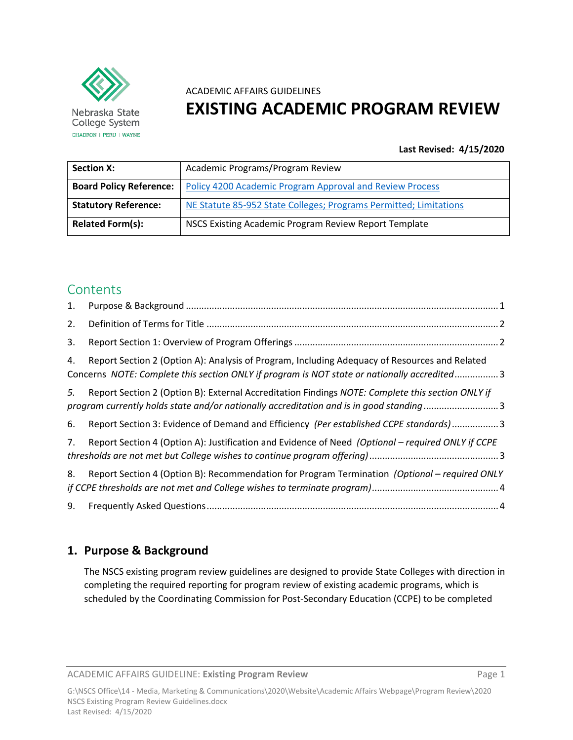

Nebraska State College System CHADRON | PERU | WAYNE

# ACADEMIC AFFAIRS GUIDELINES **EXISTING ACADEMIC PROGRAM REVIEW**

## **Last Revised: 4/15/2020**

| <b>Section X:</b>              | Academic Programs/Program Review                                  |
|--------------------------------|-------------------------------------------------------------------|
| <b>Board Policy Reference:</b> | <b>Policy 4200 Academic Program Approval and Review Process</b>   |
| <b>Statutory Reference:</b>    | NE Statute 85-952 State Colleges; Programs Permitted; Limitations |
| <b>Related Form(s):</b>        | NSCS Existing Academic Program Review Report Template             |

## **Contents**

| 1. |                                                                                                                                                                                              |  |
|----|----------------------------------------------------------------------------------------------------------------------------------------------------------------------------------------------|--|
| 2. |                                                                                                                                                                                              |  |
| 3. |                                                                                                                                                                                              |  |
| 4. | Report Section 2 (Option A): Analysis of Program, Including Adequacy of Resources and Related<br>Concerns NOTE: Complete this section ONLY if program is NOT state or nationally accredited3 |  |
| 5. | Report Section 2 (Option B): External Accreditation Findings NOTE: Complete this section ONLY if<br>program currently holds state and/or nationally accreditation and is in good standing3   |  |
| 6. | Report Section 3: Evidence of Demand and Efficiency (Per established CCPE standards)3                                                                                                        |  |
| 7. | Report Section 4 (Option A): Justification and Evidence of Need (Optional – required ONLY if CCPE                                                                                            |  |
| 8. | Report Section 4 (Option B): Recommendation for Program Termination (Optional - required ONLY                                                                                                |  |
| 9. |                                                                                                                                                                                              |  |

## <span id="page-0-0"></span>**1. Purpose & Background**

The NSCS existing program review guidelines are designed to provide State Colleges with direction in completing the required reporting for program review of existing academic programs, which is scheduled by the Coordinating Commission for Post-Secondary Education (CCPE) to be completed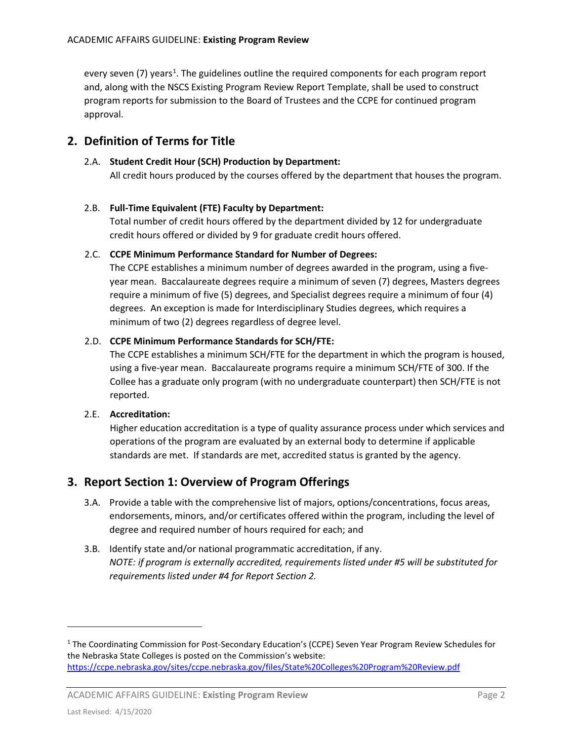every seven (7) years<sup>[1](#page-1-2)</sup>. The guidelines outline the required components for each program report and, along with the NSCS Existing Program Review Report Template, shall be used to construct program reports for submission to the Board of Trustees and the CCPE for continued program approval.

## <span id="page-1-0"></span>**2. Definition of Terms for Title**

### 2.A. **Student Credit Hour (SCH) Production by Department:**

All credit hours produced by the courses offered by the department that houses the program.

### 2.B. **Full-Time Equivalent (FTE) Faculty by Department:**

Total number of credit hours offered by the department divided by 12 for undergraduate credit hours offered or divided by 9 for graduate credit hours offered.

### 2.C. **CCPE Minimum Performance Standard for Number of Degrees:**

The CCPE establishes a minimum number of degrees awarded in the program, using a fiveyear mean. Baccalaureate degrees require a minimum of seven (7) degrees, Masters degrees require a minimum of five (5) degrees, and Specialist degrees require a minimum of four (4) degrees. An exception is made for Interdisciplinary Studies degrees, which requires a minimum of two (2) degrees regardless of degree level.

### 2.D. **CCPE Minimum Performance Standards for SCH/FTE:**

The CCPE establishes a minimum SCH/FTE for the department in which the program is housed, using a five-year mean. Baccalaureate programs require a minimum SCH/FTE of 300. If the Collee has a graduate only program (with no undergraduate counterpart) then SCH/FTE is not reported.

## 2.E. **Accreditation:**

Higher education accreditation is a type of quality assurance process under which services and operations of the program are evaluated by an external body to determine if applicable standards are met. If standards are met, accredited status is granted by the agency.

## <span id="page-1-1"></span>**3. Report Section 1: Overview of Program Offerings**

- 3.A. Provide a table with the comprehensive list of majors, options/concentrations, focus areas, endorsements, minors, and/or certificates offered within the program, including the level of degree and required number of hours required for each; and
- 3.B. Identify state and/or national programmatic accreditation, if any. *NOTE: if program is externally accredited, requirements listed under #5 will be substituted for requirements listed under #4 for Report Section 2.*

l

<span id="page-1-2"></span><sup>1</sup> The Coordinating Commission for Post-Secondary Education's (CCPE) Seven Year Program Review Schedules for the Nebraska State Colleges is posted on the Commission's website: <https://ccpe.nebraska.gov/sites/ccpe.nebraska.gov/files/State%20Colleges%20Program%20Review.pdf>

ACADEMIC AFFAIRS GUIDELINE: **Existing Program Review** Page 2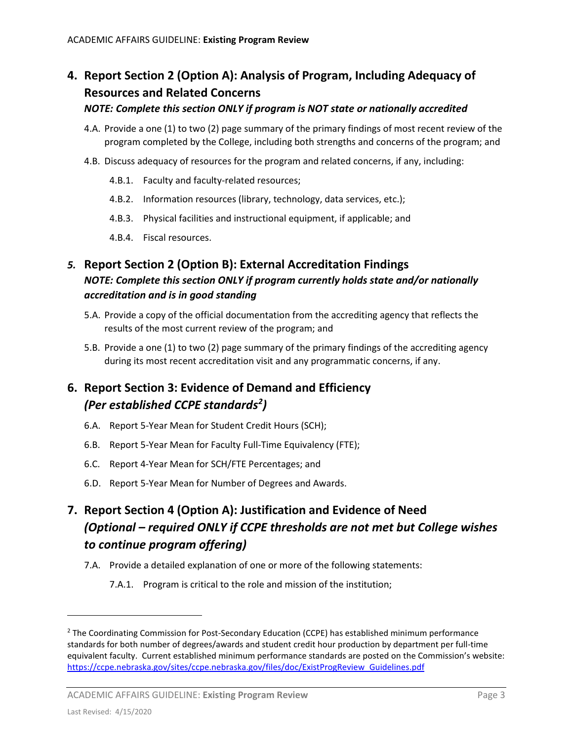# <span id="page-2-0"></span>**4. Report Section 2 (Option A): Analysis of Program, Including Adequacy of Resources and Related Concerns**

## *NOTE: Complete this section ONLY if program is NOT state or nationally accredited*

- 4.A. Provide a one (1) to two (2) page summary of the primary findings of most recent review of the program completed by the College, including both strengths and concerns of the program; and
- 4.B. Discuss adequacy of resources for the program and related concerns, if any, including:
	- 4.B.1. Faculty and faculty-related resources;
	- 4.B.2. Information resources (library, technology, data services, etc.);
	- 4.B.3. Physical facilities and instructional equipment, if applicable; and
	- 4.B.4. Fiscal resources.

## <span id="page-2-1"></span>*5.* **Report Section 2 (Option B): External Accreditation Findings** *NOTE: Complete this section ONLY if program currently holds state and/or nationally accreditation and is in good standing*

- 5.A. Provide a copy of the official documentation from the accrediting agency that reflects the results of the most current review of the program; and
- 5.B. Provide a one (1) to two (2) page summary of the primary findings of the accrediting agency during its most recent accreditation visit and any programmatic concerns, if any.

## <span id="page-2-2"></span>**6. Report Section 3: Evidence of Demand and Efficiency**  *(Per established CCPE standards[2](#page-2-4) )*

- 6.A. Report 5-Year Mean for Student Credit Hours (SCH);
- 6.B. Report 5-Year Mean for Faculty Full-Time Equivalency (FTE);
- 6.C. Report 4-Year Mean for SCH/FTE Percentages; and
- 6.D. Report 5-Year Mean for Number of Degrees and Awards.

# <span id="page-2-3"></span>**7. Report Section 4 (Option A): Justification and Evidence of Need**  *(Optional – required ONLY if CCPE thresholds are not met but College wishes to continue program offering)*

- 7.A. Provide a detailed explanation of one or more of the following statements:
	- 7.A.1. Program is critical to the role and mission of the institution;

l

<span id="page-2-4"></span><sup>&</sup>lt;sup>2</sup> The Coordinating Commission for Post-Secondary Education (CCPE) has established minimum performance standards for both number of degrees/awards and student credit hour production by department per full-time equivalent faculty. Current established minimum performance standards are posted on the Commission's website: [https://ccpe.nebraska.gov/sites/ccpe.nebraska.gov/files/doc/ExistProgReview\\_Guidelines.pdf](https://ccpe.nebraska.gov/sites/ccpe.nebraska.gov/files/doc/ExistProgReview_Guidelines.pdf)

ACADEMIC AFFAIRS GUIDELINE: **Existing Program Review** Page 3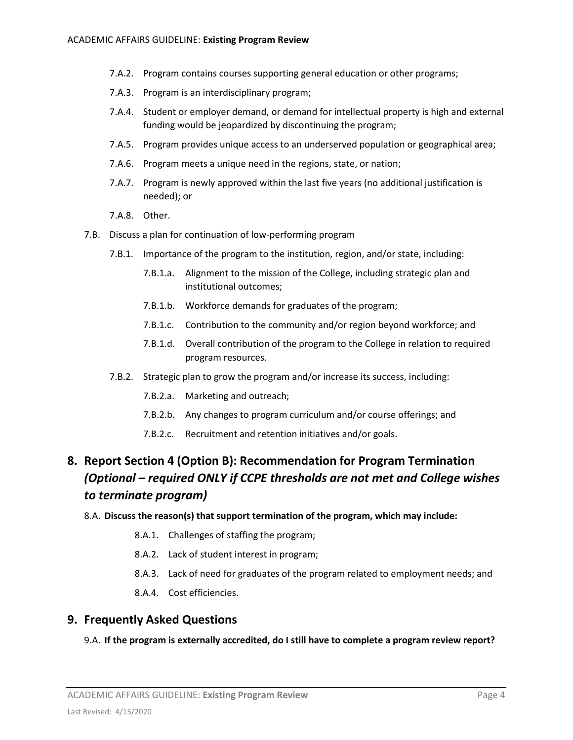- 7.A.2. Program contains courses supporting general education or other programs;
- 7.A.3. Program is an interdisciplinary program;
- 7.A.4. Student or employer demand, or demand for intellectual property is high and external funding would be jeopardized by discontinuing the program;
- 7.A.5. Program provides unique access to an underserved population or geographical area;
- 7.A.6. Program meets a unique need in the regions, state, or nation;
- 7.A.7. Program is newly approved within the last five years (no additional justification is needed); or
- 7.A.8. Other.
- 7.B. Discuss a plan for continuation of low-performing program
	- 7.B.1. Importance of the program to the institution, region, and/or state, including:
		- 7.B.1.a. Alignment to the mission of the College, including strategic plan and institutional outcomes;
		- 7.B.1.b. Workforce demands for graduates of the program;
		- 7.B.1.c. Contribution to the community and/or region beyond workforce; and
		- 7.B.1.d. Overall contribution of the program to the College in relation to required program resources.
	- 7.B.2. Strategic plan to grow the program and/or increase its success, including:
		- 7.B.2.a. Marketing and outreach;
		- 7.B.2.b. Any changes to program curriculum and/or course offerings; and
		- 7.B.2.c. Recruitment and retention initiatives and/or goals.

## <span id="page-3-0"></span>**8. Report Section 4 (Option B): Recommendation for Program Termination**  *(Optional – required ONLY if CCPE thresholds are not met and College wishes to terminate program)*

#### 8.A. **Discuss the reason(s) that support termination of the program, which may include:**

- 8.A.1. Challenges of staffing the program;
- 8.A.2. Lack of student interest in program;
- 8.A.3. Lack of need for graduates of the program related to employment needs; and
- 8.A.4. Cost efficiencies.

## <span id="page-3-1"></span>**9. Frequently Asked Questions**

#### 9.A. **If the program is externally accredited, do I still have to complete a program review report?**